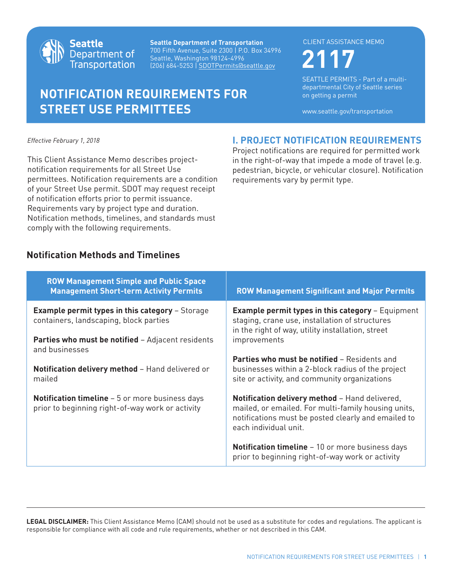

**Seattle Department of Transportation** 700 Fifth Avenue, Suite 2300 | P.O. Box 34996 Seattle, Washington 98124-4996 (206) 684-5253 | SDOTPermits@seattle.gov **2117**

# **NOTIFICATION REQUIREMENTS FOR STREET USE PERMITTEES**

#### CLIENT ASSISTANCE MEMO

**I. PROJECT NOTIFICATION REQUIREMENTS** Project notifications are required for permitted work in the right-of-way that impede a mode of travel (e.g. pedestrian, bicycle, or vehicular closure). Notification

requirements vary by permit type.

SEATTLE PERMITS - Part of a multidepartmental City of Seattle series on getting a permit

www.seattle.gov/transportation

*Effective February 1, 2018*

This Client Assistance Memo describes projectnotification requirements for all Street Use permittees. Notification requirements are a condition of your Street Use permit. SDOT may request receipt of notification efforts prior to permit issuance. Requirements vary by project type and duration. Notification methods, timelines, and standards must comply with the following requirements.

### **Notification Methods and Timelines**

| <b>ROW Management Simple and Public Space</b><br><b>Management Short-term Activity Permits</b>              | <b>ROW Management Significant and Major Permits</b>                                                                                                                                          |
|-------------------------------------------------------------------------------------------------------------|----------------------------------------------------------------------------------------------------------------------------------------------------------------------------------------------|
| <b>Example permit types in this category - Storage</b><br>containers, landscaping, block parties            | <b>Example permit types in this category - Equipment</b><br>staging, crane use, installation of structures<br>in the right of way, utility installation, street                              |
| <b>Parties who must be notified</b> – Adjacent residents<br>and businesses                                  | improvements                                                                                                                                                                                 |
| Notification delivery method - Hand delivered or<br>mailed                                                  | <b>Parties who must be notified - Residents and</b><br>businesses within a 2-block radius of the project<br>site or activity, and community organizations                                    |
| <b>Notification timeline</b> $-5$ or more business days<br>prior to beginning right-of-way work or activity | <b>Notification delivery method - Hand delivered,</b><br>mailed, or emailed. For multi-family housing units,<br>notifications must be posted clearly and emailed to<br>each individual unit. |
|                                                                                                             | <b>Notification timeline</b> – 10 or more business days<br>prior to beginning right-of-way work or activity                                                                                  |

**LEGAL DISCLAIMER:** This Client Assistance Memo (CAM) should not be used as a substitute for codes and regulations. The applicant is responsible for compliance with all code and rule requirements, whether or not described in this CAM.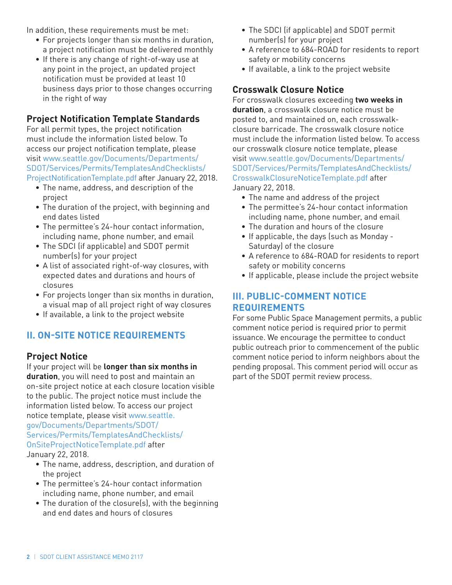In addition, these requirements must be met:

- For projects longer than six months in duration, a project notification must be delivered monthly
- If there is any change of right-of-way use at any point in the project, an updated project notification must be provided at least 10 business days prior to those changes occurring in the right of way

#### **Project Notification Template Standards**

For all permit types, the project notification must include the information listed below. To access our project notification template, please visit www.seattle.gov/Documents/Departments/ SDOT/Services/Permits/TemplatesAndChecklists/ [ProjectNotificationTemplate.pdf after January 22, 20](www.seattle.gov/Documents/Departments/SDOT/Services/Permits/TemplatesAndChecklists/ProjectNotificationTemplate.pdf)18.

- The name, address, and description of the project
- The duration of the project, with beginning and end dates listed
- The permittee's 24-hour contact information, including name, phone number, and email
- The SDCI (if applicable) and SDOT permit number(s) for your project
- A list of associated right-of-way closures, with expected dates and durations and hours of closures
- For projects longer than six months in duration, a visual map of all project right of way closures
- If available, a link to the project website

# **II. ON-SITE NOTICE REQUIREMENTS**

#### **Project Notice**

If your project will be **longer than six months in duration**, you will need to post and maintain an on-site project notice at each closure location visible to the public. The project notice must include the information listed below. To access our project notice template, please visit www.seattle.

#### gov/Documents/Departments/SDOT/ [Services/Permits/TemplatesAndChecklists/](www.seattle.gov/Documents/Departments/SDOT/Services/Permits/TemplatesAndChecklists/OnSiteProjectNoticeTemplate.pdf) OnSiteProjectNoticeTemplate.pdf after January 22, 2018.

- The name, address, description, and duration of the project
- The permittee's 24-hour contact information including name, phone number, and email
- The duration of the closure(s), with the beginning and end dates and hours of closures
- The SDCI (if applicable) and SDOT permit number(s) for your project
- A reference to 684-ROAD for residents to report safety or mobility concerns
- If available, a link to the project website

# **Crosswalk Closure Notice**

For crosswalk closures exceeding **two weeks in duration**, a crosswalk closure notice must be posted to, and maintained on, each crosswalkclosure barricade. The crosswalk closure notice must include the information listed below. To access our crosswalk closure notice template, please visit www.seattle.gov/Documents/Departments/ SDOT/Services/Permits/TemplatesAndChecklists/ CrosswalkClosureNoticeTemplate.pdf after January 22, 2018.

- The name and address of the project
- The permittee's 24-hour contact information including name, phone number, and email
- The duration and hours of the closure
- If applicable, the days (such as Monday Saturday) of the closure
- A reference to 684-ROAD for residents to report safety or mobility concerns
- If applicable, please include the project website

# **III. PUBLIC-COMMENT NOTICE REQUIREMENTS**

For some Public Space Management permits, a public comment notice period is required prior to permit issuance. We encourage the permittee to conduct public outreach prior to commencement of the public comment notice period to inform neighbors about the pending proposal. This comment period will occur as part of the SDOT permit review process.